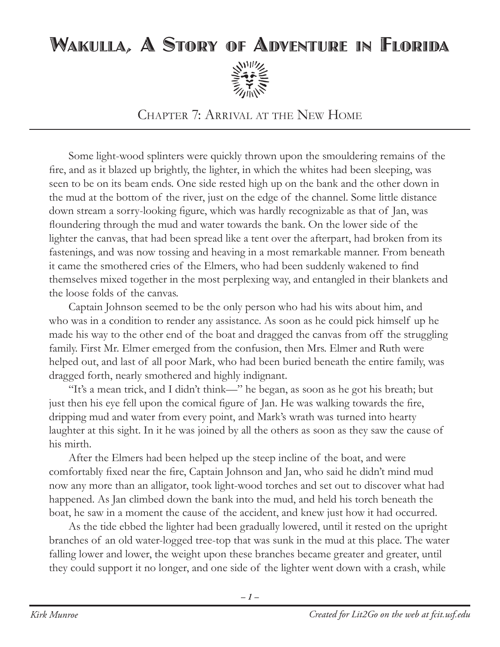## Wakulla, A Story of Adventure in Florida



Chapter 7: Arrival at the New Home

Some light-wood splinters were quickly thrown upon the smouldering remains of the fire, and as it blazed up brightly, the lighter, in which the whites had been sleeping, was seen to be on its beam ends. One side rested high up on the bank and the other down in the mud at the bottom of the river, just on the edge of the channel. Some little distance down stream a sorry-looking figure, which was hardly recognizable as that of Jan, was floundering through the mud and water towards the bank. On the lower side of the lighter the canvas, that had been spread like a tent over the afterpart, had broken from its fastenings, and was now tossing and heaving in a most remarkable manner. From beneath it came the smothered cries of the Elmers, who had been suddenly wakened to find themselves mixed together in the most perplexing way, and entangled in their blankets and the loose folds of the canvas.

Captain Johnson seemed to be the only person who had his wits about him, and who was in a condition to render any assistance. As soon as he could pick himself up he made his way to the other end of the boat and dragged the canvas from off the struggling family. First Mr. Elmer emerged from the confusion, then Mrs. Elmer and Ruth were helped out, and last of all poor Mark, who had been buried beneath the entire family, was dragged forth, nearly smothered and highly indignant.

"It's a mean trick, and I didn't think—" he began, as soon as he got his breath; but just then his eye fell upon the comical figure of Jan. He was walking towards the fire, dripping mud and water from every point, and Mark's wrath was turned into hearty laughter at this sight. In it he was joined by all the others as soon as they saw the cause of his mirth.

After the Elmers had been helped up the steep incline of the boat, and were comfortably fixed near the fire, Captain Johnson and Jan, who said he didn't mind mud now any more than an alligator, took light-wood torches and set out to discover what had happened. As Jan climbed down the bank into the mud, and held his torch beneath the boat, he saw in a moment the cause of the accident, and knew just how it had occurred.

As the tide ebbed the lighter had been gradually lowered, until it rested on the upright branches of an old water-logged tree-top that was sunk in the mud at this place. The water falling lower and lower, the weight upon these branches became greater and greater, until they could support it no longer, and one side of the lighter went down with a crash, while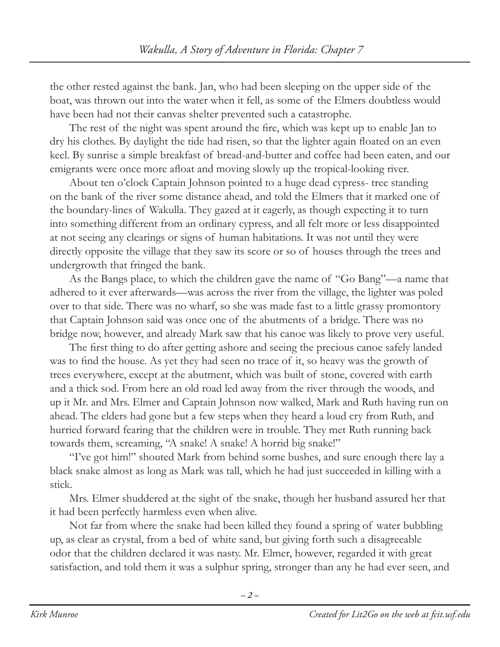the other rested against the bank. Jan, who had been sleeping on the upper side of the boat, was thrown out into the water when it fell, as some of the Elmers doubtless would have been had not their canvas shelter prevented such a catastrophe.

The rest of the night was spent around the fire, which was kept up to enable Jan to dry his clothes. By daylight the tide had risen, so that the lighter again floated on an even keel. By sunrise a simple breakfast of bread-and-butter and coffee had been eaten, and our emigrants were once more afloat and moving slowly up the tropical-looking river.

About ten o'clock Captain Johnson pointed to a huge dead cypress- tree standing on the bank of the river some distance ahead, and told the Elmers that it marked one of the boundary-lines of Wakulla. They gazed at it eagerly, as though expecting it to turn into something different from an ordinary cypress, and all felt more or less disappointed at not seeing any clearings or signs of human habitations. It was not until they were directly opposite the village that they saw its score or so of houses through the trees and undergrowth that fringed the bank.

As the Bangs place, to which the children gave the name of "Go Bang"—a name that adhered to it ever afterwards—was across the river from the village, the lighter was poled over to that side. There was no wharf, so she was made fast to a little grassy promontory that Captain Johnson said was once one of the abutments of a bridge. There was no bridge now, however, and already Mark saw that his canoe was likely to prove very useful.

The first thing to do after getting ashore and seeing the precious canoe safely landed was to find the house. As yet they had seen no trace of it, so heavy was the growth of trees everywhere, except at the abutment, which was built of stone, covered with earth and a thick sod. From here an old road led away from the river through the woods, and up it Mr. and Mrs. Elmer and Captain Johnson now walked, Mark and Ruth having run on ahead. The elders had gone but a few steps when they heard a loud cry from Ruth, and hurried forward fearing that the children were in trouble. They met Ruth running back towards them, screaming, "A snake! A snake! A horrid big snake!"

"I've got him!" shouted Mark from behind some bushes, and sure enough there lay a black snake almost as long as Mark was tall, which he had just succeeded in killing with a stick.

Mrs. Elmer shuddered at the sight of the snake, though her husband assured her that it had been perfectly harmless even when alive.

Not far from where the snake had been killed they found a spring of water bubbling up, as clear as crystal, from a bed of white sand, but giving forth such a disagreeable odor that the children declared it was nasty. Mr. Elmer, however, regarded it with great satisfaction, and told them it was a sulphur spring, stronger than any he had ever seen, and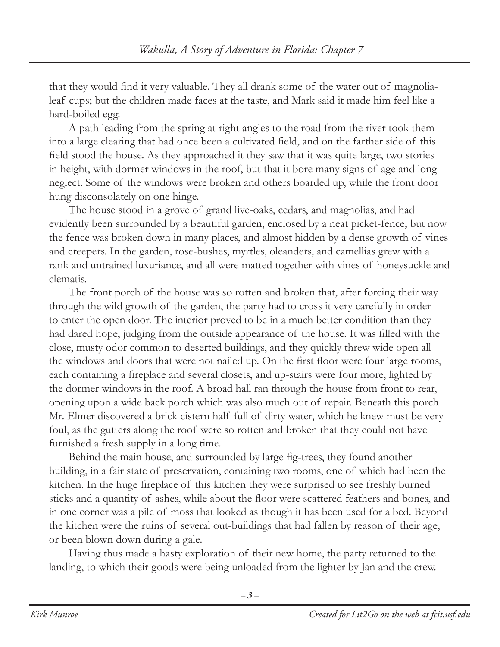that they would find it very valuable. They all drank some of the water out of magnolialeaf cups; but the children made faces at the taste, and Mark said it made him feel like a hard-boiled egg.

A path leading from the spring at right angles to the road from the river took them into a large clearing that had once been a cultivated field, and on the farther side of this field stood the house. As they approached it they saw that it was quite large, two stories in height, with dormer windows in the roof, but that it bore many signs of age and long neglect. Some of the windows were broken and others boarded up, while the front door hung disconsolately on one hinge.

The house stood in a grove of grand live-oaks, cedars, and magnolias, and had evidently been surrounded by a beautiful garden, enclosed by a neat picket-fence; but now the fence was broken down in many places, and almost hidden by a dense growth of vines and creepers. In the garden, rose-bushes, myrtles, oleanders, and camellias grew with a rank and untrained luxuriance, and all were matted together with vines of honeysuckle and clematis.

The front porch of the house was so rotten and broken that, after forcing their way through the wild growth of the garden, the party had to cross it very carefully in order to enter the open door. The interior proved to be in a much better condition than they had dared hope, judging from the outside appearance of the house. It was filled with the close, musty odor common to deserted buildings, and they quickly threw wide open all the windows and doors that were not nailed up. On the first floor were four large rooms, each containing a fireplace and several closets, and up-stairs were four more, lighted by the dormer windows in the roof. A broad hall ran through the house from front to rear, opening upon a wide back porch which was also much out of repair. Beneath this porch Mr. Elmer discovered a brick cistern half full of dirty water, which he knew must be very foul, as the gutters along the roof were so rotten and broken that they could not have furnished a fresh supply in a long time.

Behind the main house, and surrounded by large fig-trees, they found another building, in a fair state of preservation, containing two rooms, one of which had been the kitchen. In the huge fireplace of this kitchen they were surprised to see freshly burned sticks and a quantity of ashes, while about the floor were scattered feathers and bones, and in one corner was a pile of moss that looked as though it has been used for a bed. Beyond the kitchen were the ruins of several out-buildings that had fallen by reason of their age, or been blown down during a gale.

Having thus made a hasty exploration of their new home, the party returned to the landing, to which their goods were being unloaded from the lighter by Jan and the crew.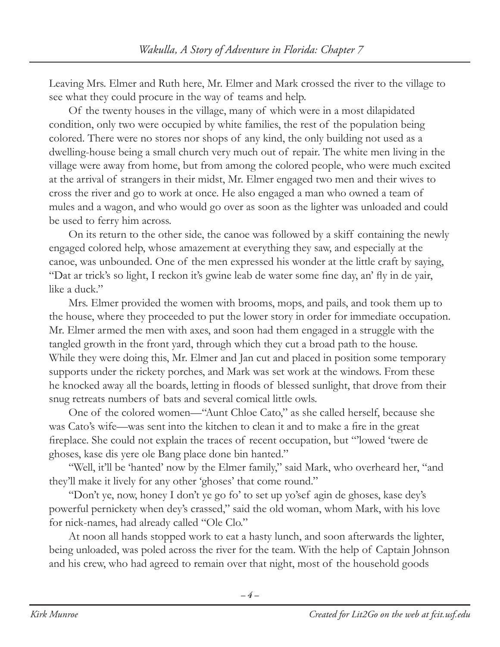Leaving Mrs. Elmer and Ruth here, Mr. Elmer and Mark crossed the river to the village to see what they could procure in the way of teams and help.

Of the twenty houses in the village, many of which were in a most dilapidated condition, only two were occupied by white families, the rest of the population being colored. There were no stores nor shops of any kind, the only building not used as a dwelling-house being a small church very much out of repair. The white men living in the village were away from home, but from among the colored people, who were much excited at the arrival of strangers in their midst, Mr. Elmer engaged two men and their wives to cross the river and go to work at once. He also engaged a man who owned a team of mules and a wagon, and who would go over as soon as the lighter was unloaded and could be used to ferry him across.

On its return to the other side, the canoe was followed by a skiff containing the newly engaged colored help, whose amazement at everything they saw, and especially at the canoe, was unbounded. One of the men expressed his wonder at the little craft by saying, "Dat ar trick's so light, I reckon it's gwine leab de water some fine day, an' fly in de yair, like a duck."

Mrs. Elmer provided the women with brooms, mops, and pails, and took them up to the house, where they proceeded to put the lower story in order for immediate occupation. Mr. Elmer armed the men with axes, and soon had them engaged in a struggle with the tangled growth in the front yard, through which they cut a broad path to the house. While they were doing this, Mr. Elmer and Jan cut and placed in position some temporary supports under the rickety porches, and Mark was set work at the windows. From these he knocked away all the boards, letting in floods of blessed sunlight, that drove from their snug retreats numbers of bats and several comical little owls.

One of the colored women—"Aunt Chloe Cato," as she called herself, because she was Cato's wife—was sent into the kitchen to clean it and to make a fire in the great fireplace. She could not explain the traces of recent occupation, but "'lowed 'twere de ghoses, kase dis yere ole Bang place done bin hanted."

"Well, it'll be 'hanted' now by the Elmer family," said Mark, who overheard her, "and they'll make it lively for any other 'ghoses' that come round."

"Don't ye, now, honey I don't ye go fo' to set up yo'sef agin de ghoses, kase dey's powerful pernickety when dey's crassed," said the old woman, whom Mark, with his love for nick-names, had already called "Ole Clo."

At noon all hands stopped work to eat a hasty lunch, and soon afterwards the lighter, being unloaded, was poled across the river for the team. With the help of Captain Johnson and his crew, who had agreed to remain over that night, most of the household goods